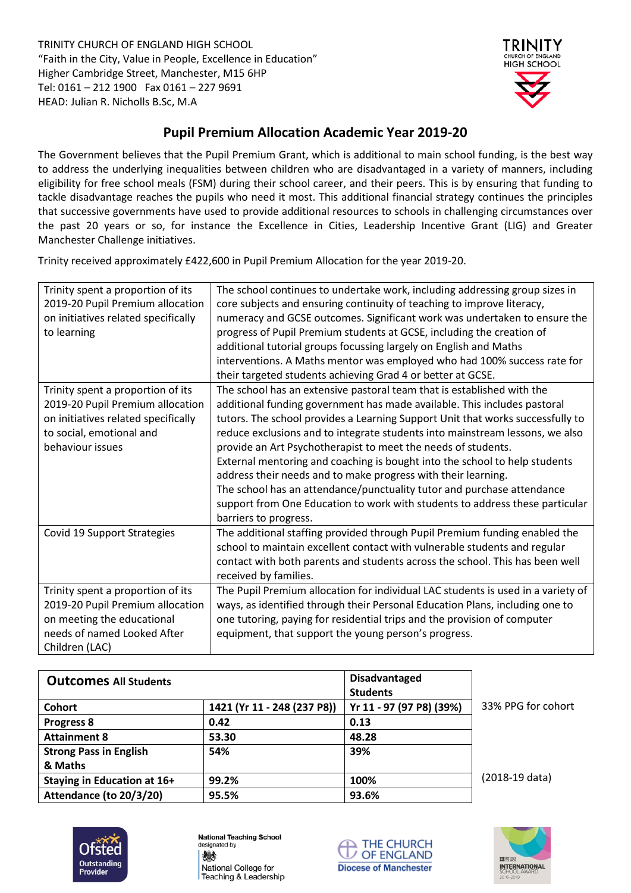TRINITY CHURCH OF ENGLAND HIGH SCHOOL "Faith in the City, Value in People, Excellence in Education" Higher Cambridge Street, Manchester, M15 6HP Tel: 0161 – 212 1900 Fax 0161 – 227 9691 HEAD: Julian R. Nicholls B.Sc, M.A



## **Pupil Premium Allocation Academic Year 2019-20**

The Government believes that the Pupil Premium Grant, which is additional to main school funding, is the best way to address the underlying inequalities between children who are disadvantaged in a variety of manners, including eligibility for free school meals (FSM) during their school career, and their peers. This is by ensuring that funding to tackle disadvantage reaches the pupils who need it most. This additional financial strategy continues the principles that successive governments have used to provide additional resources to schools in challenging circumstances over the past 20 years or so, for instance the Excellence in Cities, Leadership Incentive Grant (LIG) and Greater Manchester Challenge initiatives.

Trinity received approximately £422,600 in Pupil Premium Allocation for the year 2019-20.

| Trinity spent a proportion of its<br>2019-20 Pupil Premium allocation<br>on initiatives related specifically<br>to learning                                  | The school continues to undertake work, including addressing group sizes in<br>core subjects and ensuring continuity of teaching to improve literacy,<br>numeracy and GCSE outcomes. Significant work was undertaken to ensure the<br>progress of Pupil Premium students at GCSE, including the creation of<br>additional tutorial groups focussing largely on English and Maths                                                                                                                                                                                                                                                                                                                                        |
|--------------------------------------------------------------------------------------------------------------------------------------------------------------|-------------------------------------------------------------------------------------------------------------------------------------------------------------------------------------------------------------------------------------------------------------------------------------------------------------------------------------------------------------------------------------------------------------------------------------------------------------------------------------------------------------------------------------------------------------------------------------------------------------------------------------------------------------------------------------------------------------------------|
|                                                                                                                                                              | interventions. A Maths mentor was employed who had 100% success rate for<br>their targeted students achieving Grad 4 or better at GCSE.                                                                                                                                                                                                                                                                                                                                                                                                                                                                                                                                                                                 |
| Trinity spent a proportion of its<br>2019-20 Pupil Premium allocation<br>on initiatives related specifically<br>to social, emotional and<br>behaviour issues | The school has an extensive pastoral team that is established with the<br>additional funding government has made available. This includes pastoral<br>tutors. The school provides a Learning Support Unit that works successfully to<br>reduce exclusions and to integrate students into mainstream lessons, we also<br>provide an Art Psychotherapist to meet the needs of students.<br>External mentoring and coaching is bought into the school to help students<br>address their needs and to make progress with their learning.<br>The school has an attendance/punctuality tutor and purchase attendance<br>support from One Education to work with students to address these particular<br>barriers to progress. |
| Covid 19 Support Strategies                                                                                                                                  | The additional staffing provided through Pupil Premium funding enabled the<br>school to maintain excellent contact with vulnerable students and regular<br>contact with both parents and students across the school. This has been well<br>received by families.                                                                                                                                                                                                                                                                                                                                                                                                                                                        |
| Trinity spent a proportion of its<br>2019-20 Pupil Premium allocation<br>on meeting the educational<br>needs of named Looked After<br>Children (LAC)         | The Pupil Premium allocation for individual LAC students is used in a variety of<br>ways, as identified through their Personal Education Plans, including one to<br>one tutoring, paying for residential trips and the provision of computer<br>equipment, that support the young person's progress.                                                                                                                                                                                                                                                                                                                                                                                                                    |

| <b>Outcomes All Students</b>  |                             | <b>Disadvantaged</b><br><b>Students</b> |                    |
|-------------------------------|-----------------------------|-----------------------------------------|--------------------|
| <b>Cohort</b>                 | 1421 (Yr 11 - 248 (237 P8)) | Yr 11 - 97 (97 P8) (39%)                | 33% PPG for cohort |
| <b>Progress 8</b>             | 0.42                        | 0.13                                    |                    |
| <b>Attainment 8</b>           | 53.30                       | 48.28                                   |                    |
| <b>Strong Pass in English</b> | 54%                         | 39%                                     |                    |
| & Maths                       |                             |                                         |                    |
| Staying in Education at 16+   | 99.2%                       | 100%                                    | (2018-19 data)     |
| Attendance (to 20/3/20)       | 95.5%                       | 93.6%                                   |                    |



**National Teaching School** designated by 爀 National College for Teaching & Leadership